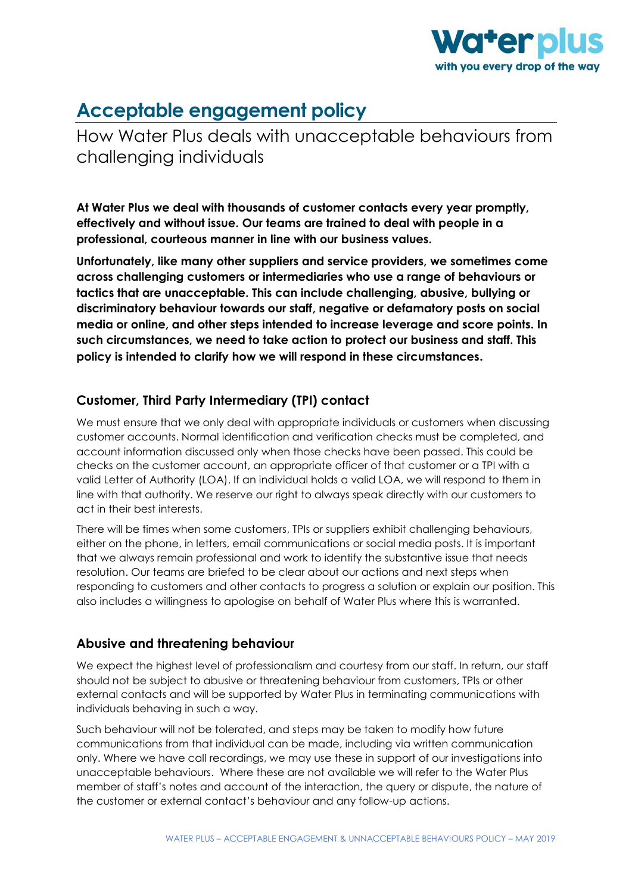

# **Acceptable engagement policy**

How Water Plus deals with unacceptable behaviours from challenging individuals

**At Water Plus we deal with thousands of customer contacts every year promptly, effectively and without issue. Our teams are trained to deal with people in a professional, courteous manner in line with our business values.** 

**Unfortunately, like many other suppliers and service providers, we sometimes come across challenging customers or intermediaries who use a range of behaviours or tactics that are unacceptable. This can include challenging, abusive, bullying or discriminatory behaviour towards our staff, negative or defamatory posts on social media or online, and other steps intended to increase leverage and score points. In such circumstances, we need to take action to protect our business and staff. This policy is intended to clarify how we will respond in these circumstances.**

## **Customer, Third Party Intermediary (TPI) contact**

We must ensure that we only deal with appropriate individuals or customers when discussing customer accounts. Normal identification and verification checks must be completed, and account information discussed only when those checks have been passed. This could be checks on the customer account, an appropriate officer of that customer or a TPI with a valid Letter of Authority (LOA). If an individual holds a valid LOA, we will respond to them in line with that authority. We reserve our right to always speak directly with our customers to act in their best interests.

There will be times when some customers, TPIs or suppliers exhibit challenging behaviours, either on the phone, in letters, email communications or social media posts. It is important that we always remain professional and work to identify the substantive issue that needs resolution. Our teams are briefed to be clear about our actions and next steps when responding to customers and other contacts to progress a solution or explain our position. This also includes a willingness to apologise on behalf of Water Plus where this is warranted.

## **Abusive and threatening behaviour**

We expect the highest level of professionalism and courtesy from our staff. In return, our staff should not be subject to abusive or threatening behaviour from customers, TPIs or other external contacts and will be supported by Water Plus in terminating communications with individuals behaving in such a way.

Such behaviour will not be tolerated, and steps may be taken to modify how future communications from that individual can be made, including via written communication only. Where we have call recordings, we may use these in support of our investigations into unacceptable behaviours. Where these are not available we will refer to the Water Plus member of staff's notes and account of the interaction, the query or dispute, the nature of the customer or external contact's behaviour and any follow-up actions.